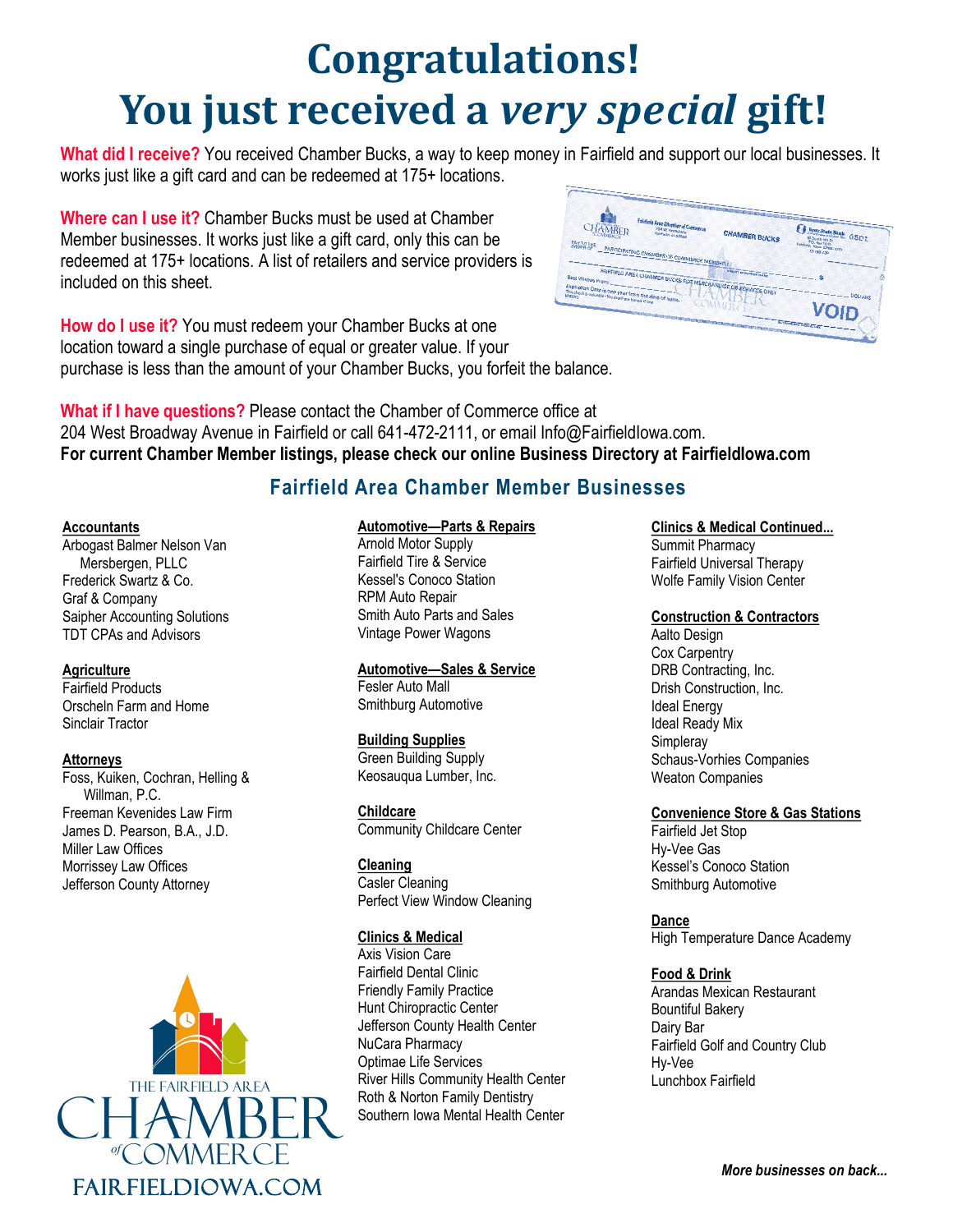# **Congratulations! You just received a** *very special* **gift!**

**What did I receive?** You received Chamber Bucks, a way to keep money in Fairfield and support our local businesses. It works just like a gift card and can be redeemed at 175+ locations.

**Where can I use it?** Chamber Bucks must be used at Chamber Member businesses. It works just like a gift card, only this can be redeemed at 175+ locations. A list of retailers and service providers is included on this sheet.



**How do I use it?** You must redeem your Chamber Bucks at one location toward a single purchase of equal or greater value. If your purchase is less than the amount of your Chamber Bucks, you forfeit the balance.

**What if I have questions?** Please contact the Chamber of Commerce office at 204 West Broadway Avenue in Fairfield or call 641-472-2111, or email Info@FairfieldIowa.com. **For current Chamber Member listings, please check our online Business Directory at FairfieldIowa.com**

# **Fairfield Area Chamber Member Businesses**

#### **Accountants**

Arbogast Balmer Nelson Van Mersbergen, PLLC Frederick Swartz & Co. Graf & Company Saipher Accounting Solutions TDT CPAs and Advisors

# **Agriculture**

Fairfield Products Orscheln Farm and Home Sinclair Tractor

#### **Attorneys**

Foss, Kuiken, Cochran, Helling & Willman, P.C. Freeman Kevenides Law Firm James D. Pearson, B.A., J.D. Miller Law Offices Morrissey Law Offices Jefferson County Attorney



# **Automotive—Parts & Repairs**

Arnold Motor Supply Fairfield Tire & Service Kessel's Conoco Station RPM Auto Repair Smith Auto Parts and Sales Vintage Power Wagons

#### **Automotive—Sales & Service**

Fesler Auto Mall Smithburg Automotive

#### **Building Supplies**

Green Building Supply Keosauqua Lumber, Inc.

**Childcare** Community Childcare Center

#### **Cleaning**

Casler Cleaning Perfect View Window Cleaning

#### **Clinics & Medical**

Axis Vision Care Fairfield Dental Clinic Friendly Family Practice Hunt Chiropractic Center Jefferson County Health Center NuCara Pharmacy Optimae Life Services River Hills Community Health Center Roth & Norton Family Dentistry Southern Iowa Mental Health Center

**Clinics & Medical Continued...**

Summit Pharmacy Fairfield Universal Therapy Wolfe Family Vision Center

# **Construction & Contractors**

Aalto Design Cox Carpentry DRB Contracting, Inc. Drish Construction, Inc. Ideal Energy Ideal Ready Mix **Simpleray** Schaus-Vorhies Companies Weaton Companies

# **Convenience Store & Gas Stations**

Fairfield Jet Stop Hy-Vee Gas Kessel's Conoco Station Smithburg Automotive

**Dance**

High Temperature Dance Academy

# **Food & Drink**

Arandas Mexican Restaurant Bountiful Bakery Dairy Bar Fairfield Golf and Country Club Hy-Vee Lunchbox Fairfield